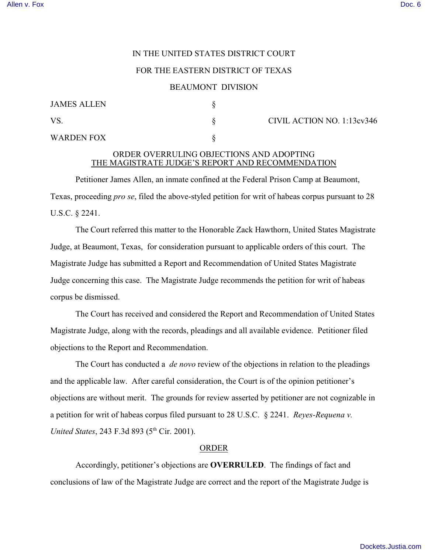# IN THE UNITED STATES DISTRICT COURT

### FOR THE EASTERN DISTRICT OF TEXAS

#### BEAUMONT DIVISION

| <b>JAMES ALLEN</b> |  |
|--------------------|--|
| VS.                |  |
| <b>WARDEN FOX</b>  |  |

 $\S$  CIVIL ACTION NO. 1:13cv346

## ORDER OVERRULING OBJECTIONS AND ADOPTING THE MAGISTRATE JUDGE'S REPORT AND RECOMMENDATION

Petitioner James Allen, an inmate confined at the Federal Prison Camp at Beaumont, Texas, proceeding *pro se*, filed the above-styled petition for writ of habeas corpus pursuant to 28 U.S.C. § 2241.

The Court referred this matter to the Honorable Zack Hawthorn, United States Magistrate Judge, at Beaumont, Texas, for consideration pursuant to applicable orders of this court. The Magistrate Judge has submitted a Report and Recommendation of United States Magistrate Judge concerning this case. The Magistrate Judge recommends the petition for writ of habeas corpus be dismissed.

The Court has received and considered the Report and Recommendation of United States Magistrate Judge, along with the records, pleadings and all available evidence. Petitioner filed objections to the Report and Recommendation.

The Court has conducted a *de novo* review of the objections in relation to the pleadings and the applicable law. After careful consideration, the Court is of the opinion petitioner's objections are without merit. The grounds for review asserted by petitioner are not cognizable in a petition for writ of habeas corpus filed pursuant to 28 U.S.C. § 2241. *Reyes-Requena v. United States*, 243 F.3d 893 (5<sup>th</sup> Cir. 2001).

### ORDER

Accordingly, petitioner's objections are **OVERRULED**. The findings of fact and conclusions of law of the Magistrate Judge are correct and the report of the Magistrate Judge is